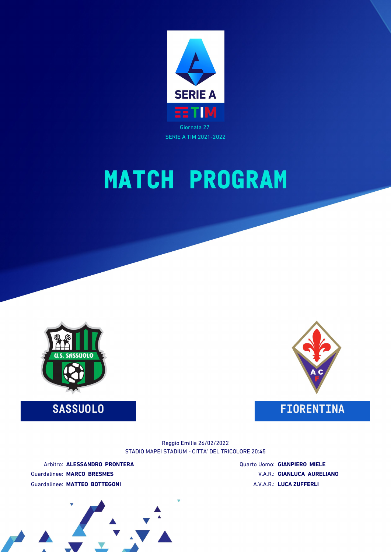

# **MATCH PROGRAM**



**SASSUOLO FIORENTINA**



STADIO MAPEI STADIUM - CITTA' DEL TRICOLORE 20:45 Reggio Emilia 26/02/2022

Arbitro: **ALESSANDRO PRONTERA** Guardalinee: **MARCO BRESMES** Guardalinee: **MATTEO BOTTEGONI**

Quarto Uomo: **GIANPIERO MIELE** V.A.R.: **GIANLUCA AURELIANO** A.V.A.R.: **LUCA ZUFFERLI**

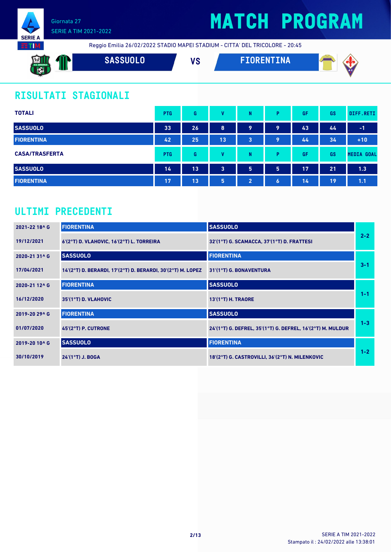



Reggio Emilia 26/02/2022 STADIO MAPEI STADIUM - CITTA' DEL TRICOLORE - 20:45

| <b>EXIL</b><br>U.S. SASSUOLO<br><b>COM</b><br><b>Contract Contract</b> | SASSUOLO | $\mathbf{u}$<br>7 Q | ENTINA<br>= I I I R | ____<br>M C |
|------------------------------------------------------------------------|----------|---------------------|---------------------|-------------|
|                                                                        |          |                     |                     |             |

## **RISULTATI STAGIONALI**

| <b>TOTALI</b>         | <b>PTG</b> | G  | v  | N              | Þ | GF | GS | DIFF.RETI         |
|-----------------------|------------|----|----|----------------|---|----|----|-------------------|
| <b>SASSUOLO</b>       | 33         | 26 | 8  | 9              | 9 | 43 | 44 | $-1$              |
| <b>FIORENTINA</b>     | 42         | 25 | 13 | 3              | 9 | 44 | 34 | $+10$             |
| <b>CASA/TRASFERTA</b> | <b>PTG</b> | G  | v  | N              | Þ | GF | GS | <b>MEDIA GOAL</b> |
| <b>SASSUOLO</b>       | 14         | 13 | 3  | 5              | 5 | 17 | 21 | 1.3               |
| <b>FIORENTINA</b>     | 17         | 13 | 5  | $\overline{2}$ | 6 | 14 | 19 | 1.1               |

## **ULTIMI PRECEDENTI**

| 2021-22 18^ G | <b>FIORENTINA</b>                                           | <b>SASSUOLO</b>                                            |         |
|---------------|-------------------------------------------------------------|------------------------------------------------------------|---------|
| 19/12/2021    | 6'(2°T) D. VLAHOVIC, 16'(2°T) L. TORREIRA                   | 32'(1°T) G. SCAMACCA, 37'(1°T) D. FRATTESI                 | $2 - 2$ |
| 2020-21 31^ G | <b>SASSUOLO</b>                                             | <b>FIORENTINA</b>                                          |         |
| 17/04/2021    | 14'(2°T) D. BERARDI, 17'(2°T) D. BERARDI, 30'(2°T) M. LOPEZ | 31'(1°T) G. BONAVENTURA                                    | $3 - 1$ |
| 2020-21 12^ G | <b>FIORENTINA</b>                                           | <b>SASSUOLO</b>                                            |         |
| 16/12/2020    | $35'(1°T)$ D. VLAHOVIC                                      | 13'(1°T) H. TRAORE                                         | $1 - 1$ |
| 2019-20 29^ G | <b>FIORENTINA</b>                                           | <b>SASSUOLO</b>                                            |         |
| 01/07/2020    | 45'(2°T) P. CUTRONE                                         | 24'(1°T) G. DEFREL, 35'(1°T) G. DEFREL, 16'(2°T) M. MULDUR | $1 - 3$ |
| 2019-20 10^ G | <b>SASSUOLO</b>                                             | <b>FIORENTINA</b>                                          |         |
| 30/10/2019    | $24'(1°T)$ J. BOGA                                          | 18'(2°T) G. CASTROVILLI, 36'(2°T) N. MILENKOVIC            | $1 - 2$ |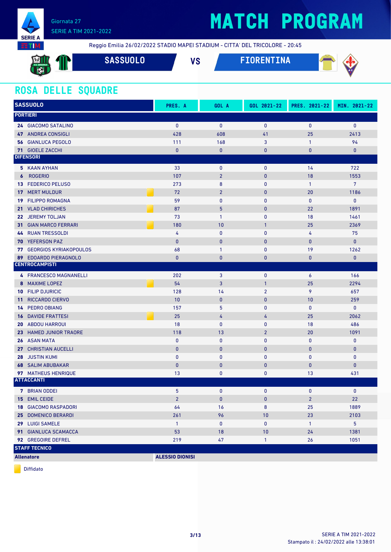

# **MATCH PROGRAM**

Reggio Emilia 26/02/2022 STADIO MAPEI STADIUM - CITTA' DEL TRICOLORE - 20:45

| $\mathbf{M}$<br>U.S. SASSUOLO | 8 Z | <b>SASSUOLO</b> | VC<br>1 0 | FIORENTINA | $\sim$<br>. |
|-------------------------------|-----|-----------------|-----------|------------|-------------|
|                               |     |                 |           |            |             |

### **ROSA DELLE SQUADRE**

| <b>SASSUOLO</b>      |                                  | PRES. A                | GOL A          | GOL 2021-22    | PRES. 2021-22  | MIN. 2021-22   |
|----------------------|----------------------------------|------------------------|----------------|----------------|----------------|----------------|
| <b>PORTIERI</b>      |                                  |                        |                |                |                |                |
|                      | 24 GIACOMO SATALINO              | $\mathbf{0}$           | $\mathbf{0}$   | $\mathbf{0}$   | $\mathbf{0}$   | $\mathbf{0}$   |
|                      | 47 ANDREA CONSIGLI               | 428                    | 608            | 41             | 25             | 2413           |
|                      | <b>56 GIANLUCA PEGOLO</b>        | 111                    | 168            | 3              | $\mathbf{1}$   | 94             |
|                      | 71 GIOELE ZACCHI                 | $\pmb{0}$              | $\pmb{0}$      | 0              | $\bf{0}$       | 0              |
| <b>DIFENSORI</b>     |                                  |                        |                |                |                |                |
|                      | 5 KAAN AYHAN                     | 33                     | 0              | $\pmb{0}$      | 14             | 722            |
| $\boldsymbol{6}$     | <b>ROGERIO</b>                   | 107                    | $\overline{2}$ | $\mathbf{0}$   | 18             | 1553           |
| 13                   | <b>FEDERICO PELUSO</b>           | 273                    | 8              | $\mathbf 0$    | $\mathbf{1}$   | $\overline{7}$ |
| 17                   | <b>MERT MULDUR</b>               | 72                     | $\overline{2}$ | $\pmb{0}$      | 20             | 1186           |
| 19                   | <b>FILIPPO ROMAGNA</b>           | 59                     | 0              | $\mathbf{0}$   | $\bf{0}$       | $\mathbf 0$    |
| 21                   | <b>VLAD CHIRICHES</b>            | 87                     | 5              | $\mathbf{0}$   | 22             | 1891           |
|                      | 22 JEREMY TOLJAN                 | 73                     | $\mathbf{1}$   | $\mathbf{0}$   | 18             | 1461           |
|                      | <b>31 GIAN MARCO FERRARI</b>     | 180                    | 10             | $\mathbf{1}$   | 25             | 2369           |
| 44                   | <b>RUAN TRESSOLDI</b>            | 4                      | $\pmb{0}$      | $\bf{0}$       | 4              | 75             |
| 70                   | <b>YEFERSON PAZ</b>              | $\mathbf{0}$           | $\pmb{0}$      | $\bf{0}$       | $\bf{0}$       | $\mathbf{0}$   |
|                      | <b>77 GEORGIOS KYRIAKOPOULOS</b> | 68                     | $\mathbf{1}$   | 0              | 19             | 1262           |
| 89                   | <b>EDOARDO PIERAGNOLO</b>        | $\mathbf{0}$           | $\mathbf{0}$   | $\mathbf{0}$   | $\mathbf{0}$   | $\mathbf{0}$   |
|                      | <b>CENTROCAMPISTI</b>            |                        |                |                |                |                |
|                      | 4 FRANCESCO MAGNANELLI           | 202                    | 3              | $\mathbf{0}$   | 6              | 166            |
| 8                    | <b>MAXIME LOPEZ</b>              | 54                     | 3              | $\mathbf{1}$   | 25             | 2294           |
|                      | <b>10 FILIP DJURICIC</b>         | 128                    | 14             | $\overline{2}$ | 9              | 657            |
| 11 <sup>1</sup>      | <b>RICCARDO CIERVO</b>           | 10                     | $\mathbf{0}$   | $\mathbf{0}$   | 10             | 259            |
| 14                   | <b>PEDRO OBIANG</b>              | 157                    | 5              | $\mathbf{0}$   | $\mathbf 0$    | $\mathbf{0}$   |
| 16                   | <b>DAVIDE FRATTESI</b>           | 25                     | 4              | 4              | 25             | 2062           |
|                      | <b>20 ABDOU HARROUI</b>          | 18                     | 0              | 0              | 18             | 486            |
|                      | 23 HAMED JUNIOR TRAORE           | 118                    | 13             | $\overline{2}$ | 20             | 1091           |
|                      | <b>26 ASAN MATA</b>              | $\bf{0}$               | 0              | 0              | $\bf{0}$       | $\mathbf 0$    |
|                      | 27 CHRISTIAN AUCELLI             | $\pmb{0}$              | $\bf{0}$       | $\mathbf{0}$   | $\mathbf{0}$   | $\bf{0}$       |
| 28                   | <b>JUSTIN KUMI</b>               | $\bf{0}$               | 0              | $\mathbf{0}$   | $\mathbf 0$    | $\mathbf 0$    |
|                      | <b>68 SALIM ABUBAKAR</b>         | $\mathbf{0}$           | $\pmb{0}$      | $\mathbf{0}$   | $\mathbf{0}$   | 0              |
|                      | 97 MATHEUS HENRIQUE              | 13                     | 0              | 0              | 13             | 431            |
| <b>ATTACCANTI</b>    |                                  |                        |                |                |                |                |
|                      | <b>7</b> BRIAN ODDEI             | 5                      | 0              | $\mathbf{0}$   | $\mathbf 0$    | $\bf{0}$       |
|                      | 15 EMIL CEIDE                    | $\overline{2}$         | $\pmb{0}$      | $\mathbf{0}$   | $\overline{2}$ | 22             |
|                      | <b>18 GIACOMO RASPADORI</b>      | 64                     | 16             | 8              | 25             | 1889           |
|                      | 25 DOMENICO BERARDI              | 261                    | 96             | 10             | 23             | 2103           |
|                      | 29 LUIGI SAMELE                  | $\mathbf{1}$           | 0              | 0              | $\mathbf{1}$   | 5 <sub>5</sub> |
|                      | 91 GIANLUCA SCAMACCA             | 53                     | 18             | 10             | 24             | 1381           |
|                      | 92 GREGOIRE DEFREL               | 219                    | 47             | $\mathbf{1}$   | 26             | 1051           |
| <b>STAFF TECNICO</b> |                                  |                        |                |                |                |                |
| <b>Allenatore</b>    |                                  | <b>ALESSIO DIONISI</b> |                |                |                |                |

Diffidato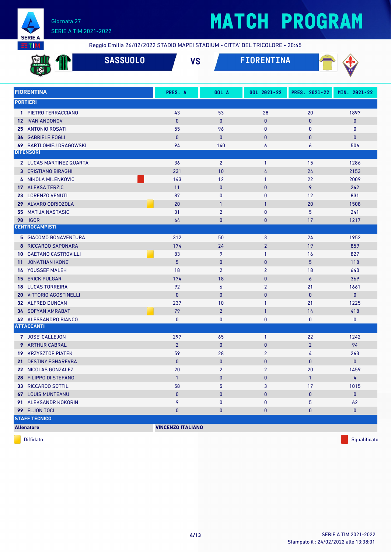

# **MATCH PROGRAM**

Reggio Emilia 26/02/2022 STADIO MAPEI STADIUM - CITTA' DEL TRICOLORE - 20:45

|                                   | <b>SASSUOLO</b> | <b>VS</b>                |                | <b>FIORENTINA</b> |                |                |
|-----------------------------------|-----------------|--------------------------|----------------|-------------------|----------------|----------------|
| <b>FIORENTINA</b>                 |                 | PRES. A                  | GOL A          | GOL 2021-22       | PRES. 2021-22  | MIN. 2021-22   |
| <b>PORTIERI</b>                   |                 |                          |                |                   |                |                |
| 1 PIETRO TERRACCIANO              |                 | 43                       | 53             | 28                | 20             | 1897           |
| <b>12 IVAN ANDONOV</b>            |                 | $\mathbf{0}$             | $\mathbf{0}$   | $\mathbf{0}$      | $\bf{0}$       | 0              |
| 25<br><b>ANTONIO ROSATI</b>       |                 | 55                       | 96             | 0                 | $\mathbf{0}$   | 0              |
| <b>GABRIELE FOGLI</b><br>36       |                 | $\mathbf{0}$             | $\mathbf{0}$   | $\bf{0}$          | $\bf{0}$       | $\mathbf{0}$   |
| <b>69 BARTLOMIEJ DRAGOWSKI</b>    |                 | 94                       | 140            | 6                 | 6              | 506            |
| <b>DIFENSORI</b>                  |                 |                          |                |                   |                |                |
| 2 LUCAS MARTINEZ QUARTA           |                 | 36                       | $\overline{2}$ | 1                 | 15             | 1286           |
| <b>3 CRISTIANO BIRAGHI</b>        |                 | 231                      | 10             | 4                 | 24             | 2153           |
| 4 NIKOLA MILENKOVIC               |                 | 143                      | 12             | $\mathbf{1}$      | 22             | 2009           |
| <b>ALEKSA TERZIC</b><br>17        |                 | 11                       | $\mathbf{0}$   | $\bf{0}$          | 9              | 242            |
| <b>LORENZO VENUTI</b><br>23       |                 | 87                       | $\mathbf{0}$   | 0                 | 12             | 831            |
| ALVARO ODRIOZOLA<br>29            |                 | 20                       | $\overline{1}$ | $\mathbf{1}$      | 20             | 1508           |
| <b>MATIJA NASTASIC</b><br>55      |                 | 31                       | $\overline{2}$ | 0                 | 5              | 241            |
| <b>IGOR</b><br>98                 |                 | 64                       | $\mathbf{0}$   | $\mathbf{0}$      | 17             | 1217           |
| <b>CENTROCAMPISTI</b>             |                 |                          |                |                   |                |                |
| <b>5 GIACOMO BONAVENTURA</b>      |                 | 312                      | 50             | 3                 | 24             | 1952           |
| RICCARDO SAPONARA<br>8            |                 | 174                      | 24             | $\overline{2}$    | 19             | 859            |
| <b>GAETANO CASTROVILLI</b><br>10  |                 | 83                       | 9              | $\mathbf{1}$      | 16             | 827            |
| <b>JONATHAN IKONE'</b><br>11      |                 | 5 <sup>5</sup>           | $\mathbf{0}$   | $\pmb{0}$         | 5              | 118            |
| YOUSSEF MALEH<br>14               |                 | 18                       | $\overline{2}$ | $\overline{2}$    | 18             | 640            |
| <b>ERICK PULGAR</b><br>15         |                 | 174                      | 18             | $\mathbf{0}$      | $\overline{6}$ | 369            |
| <b>LUCAS TORREIRA</b><br>18       |                 | 92                       | 6              | $\overline{2}$    | 21             | 1661           |
| <b>VITTORIO AGOSTINELLI</b><br>20 |                 | $\mathbf{0}$             | $\mathbf{0}$   | $\bf{0}$          | $\mathbf{0}$   | $\mathbf{0}$   |
| 32 ALFRED DUNCAN                  |                 | 237                      | 10             | $\mathbf{1}$      | 21             | 1225           |
| 34 SOFYAN AMRABAT                 |                 | 79                       | $\overline{2}$ | $\mathbf{1}$      | 14             | 418            |
| 42 ALESSANDRO BIANCO              |                 | $\bf{0}$                 | $\mathbf{0}$   | 0                 | 0              | 0              |
| <b>ATTACCANTI</b>                 |                 |                          |                |                   |                |                |
| 7 JOSE' CALLEJON                  |                 | 297                      | 65             | $\mathbf{1}$      | 22             | 1242           |
| 9 ARTHUR CABRAL                   |                 | $\overline{2}$           | $\mathbf 0$    | $\bf{0}$          | $\overline{2}$ | 94             |
| <b>19 KRZYSZTOF PIATEK</b>        |                 | 59                       | 28             | $\overline{2}$    | 4              | 263            |
| 21 DESTINY EGHAREVBA              |                 | $\mathbf{0}$             | $\bf{0}$       | 0                 | 0              | $\mathbf 0$    |
| 22 NICOLAS GONZALEZ               |                 | 20                       | $\overline{2}$ | $\overline{2}$    | 20             | 1459           |
| 28 FILIPPO DI STEFANO             |                 | $\mathbf{1}$             | $\pmb{0}$      | 0                 | $\mathbf{1}$   | $\overline{4}$ |
| 33 RICCARDO SOTTIL                |                 | 58                       | 5              | 3                 | 17             | 1015           |
| <b>67 LOUIS MUNTEANU</b>          |                 | $\pmb{0}$                | $\bf{0}$       | 0                 | 0              | $\mathbf{0}$   |
| 91 ALEKSANDR KOKORIN              |                 | 9                        | 0              | 0                 | 5              | 62             |
| 99 ELJON TOCI                     |                 | $\pmb{0}$                | $\bf{0}$       | 0                 | $\pmb{0}$      | $\bf{0}$       |
| <b>STAFF TECNICO</b>              |                 |                          |                |                   |                |                |
| <b>Allenatore</b>                 |                 | <b>VINCENZO ITALIANO</b> |                |                   |                |                |

diffidato de la contradicción de la contradicción de la contradicción de la contradicción de la contradicción de Squalificato de la contradicción de la contradicción de la contradicción de la contradicción de la contradicc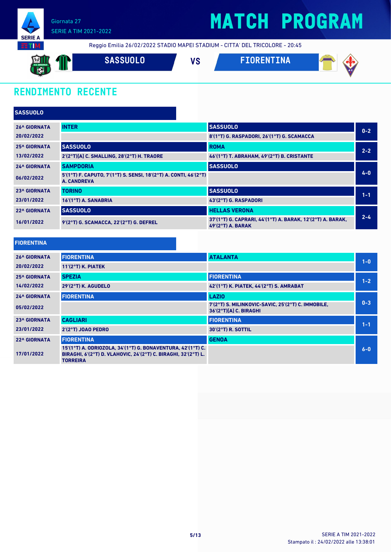

## **MATCH PROGRAM**

Reggio Emilia 26/02/2022 STADIO MAPEI STADIUM - CITTA' DEL TRICOLORE - 20:45

**SASSUOLO VS FIORENTINA** 

## **RENDIMENTO RECENTE**

| <b>SASSUOLO</b>     |                                                                                   |                                                                                   |         |
|---------------------|-----------------------------------------------------------------------------------|-----------------------------------------------------------------------------------|---------|
| <b>26^ GIORNATA</b> | <b>INTER</b>                                                                      | <b>SASSUOLO</b>                                                                   | $0 - 2$ |
| 20/02/2022          |                                                                                   | 8'(1°T) G. RASPADORI, 26'(1°T) G. SCAMACCA                                        |         |
| <b>25^ GIORNATA</b> | <b>SASSUOLO</b>                                                                   | <b>ROMA</b>                                                                       | $2 - 2$ |
| 13/02/2022          | 2'(2°T)[A] C. SMALLING, 28'(2°T) H. TRAORE                                        | 46'(1°T) T. ABRAHAM, 49'(2°T) B. CRISTANTE                                        |         |
| <b>24^ GIORNATA</b> | <b>SAMPDORIA</b>                                                                  | <b>SASSUOLO</b>                                                                   |         |
| 06/02/2022          | $5'(1°T)$ F. CAPUTO, 7'(1°T) S. SENSI, 18'(2°T) A. CONTI, 46'(2°T)<br>A. CANDREVA |                                                                                   | $4 - 0$ |
| <b>23^ GIORNATA</b> | <b>TORINO</b>                                                                     | <b>SASSUOLO</b>                                                                   | $1 - 1$ |
| 23/01/2022          | 16'(1°T) A. SANABRIA                                                              | 43'(2°T) G. RASPADORI                                                             |         |
| <b>22^ GIORNATA</b> | <b>SASSUOLO</b>                                                                   | <b>HELLAS VERONA</b>                                                              |         |
| 16/01/2022          | $9'(2°T)$ G. SCAMACCA. 22'(2°T) G. DEFREL                                         | 37'(1°T) G. CAPRARI, 44'(1°T) A. BARAK, 12'(2°T) A. BARAK,<br>$49'(2°T)$ A. BARAK | $2 - 4$ |

| <b>FIORENTINA</b> |  |  |  |  |  |
|-------------------|--|--|--|--|--|
|                   |  |  |  |  |  |

| <b>26^ GIORNATA</b> | <b>FIORENTINA</b>                                                                                                                                | <b>ATALANTA</b>                                                              | $1 - 0$ |
|---------------------|--------------------------------------------------------------------------------------------------------------------------------------------------|------------------------------------------------------------------------------|---------|
| 20/02/2022          | $11'(2°T)$ K. PIATEK                                                                                                                             |                                                                              |         |
| <b>25^ GIORNATA</b> | <b>SPEZIA</b>                                                                                                                                    | <b>FIORENTINA</b>                                                            | $1 - 2$ |
| 14/02/2022          | 29'(2°T) K. AGUDELO                                                                                                                              | 42'(1°T) K. PIATEK, 44'(2°T) S. AMRABAT                                      |         |
| <b>24^ GIORNATA</b> | <b>FIORENTINA</b>                                                                                                                                | <b>LAZIO</b>                                                                 |         |
| 05/02/2022          |                                                                                                                                                  | 7'(2°T) S. MILINKOVIC-SAVIC, 25'(2°T) C. IMMOBILE,<br>36'(2°T)[A] C. BIRAGHI | $0 - 3$ |
| <b>23^ GIORNATA</b> | <b>CAGLIARI</b>                                                                                                                                  | <b>FIORENTINA</b>                                                            | $1 - 1$ |
| 23/01/2022          | $2'(2°T)$ JOAO PEDRO                                                                                                                             | 30'(2°T) R. SOTTIL                                                           |         |
| <b>22^ GIORNATA</b> | <b>FIORENTINA</b>                                                                                                                                | <b>GENOA</b>                                                                 |         |
| 17/01/2022          | 15'(1°T) A. ODRIOZOLA, 34'(1°T) G. BONAVENTURA, 42'(1°T) C.<br>BIRAGHI, 6'(2°T) D. VLAHOVIC, 24'(2°T) C. BIRAGHI, 32'(2°T) L.<br><b>TORREIRA</b> |                                                                              | $6-0$   |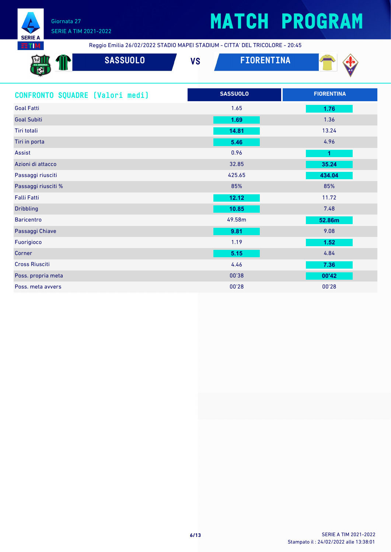

## SERIE A TIM 2021-2022

# **MATCH PROGRAM**

Reggio Emilia 26/02/2022 STADIO MAPEI STADIUM - CITTA' DEL TRICOLORE - 20:45

| <b>External</b><br>U.S. SASSUOLO<br><b>R</b><br>- 32 - 22 | <b>SASSUOLO</b> | $\mathbf{u}$<br>vo | <b>ENTINA</b> | _____<br><b>AC</b> |
|-----------------------------------------------------------|-----------------|--------------------|---------------|--------------------|
|                                                           |                 |                    |               |                    |

| CONFRONTO SQUADRE [Valori medi] | <b>SASSUOLO</b> | <b>FIORENTINA</b>    |
|---------------------------------|-----------------|----------------------|
| <b>Goal Fatti</b>               | 1.65            | 1.76                 |
| <b>Goal Subiti</b>              | 1.69            | 1.36                 |
| Tiri totali                     | 14.81           | 13.24                |
| Tiri in porta                   | 5.46            | 4.96                 |
| Assist                          | 0.96            | $\blacktriangleleft$ |
| Azioni di attacco               | 32.85           | 35.24                |
| Passaggi riusciti               | 425.65          | 434.04               |
| Passaggi riusciti %             | 85%             | 85%                  |
| <b>Falli Fatti</b>              | 12.12           | 11.72                |
| <b>Dribbling</b>                | 10.85           | 7.48                 |
| <b>Baricentro</b>               | 49.58m          | 52.86m               |
| Passaggi Chiave                 | 9.81            | 9.08                 |
| Fuorigioco                      | 1.19            | 1.52                 |
| Corner                          | 5.15            | 4.84                 |
| <b>Cross Riusciti</b>           | 4.46            | 7.36                 |
| Poss. propria meta              | 00'38           | 00'42                |
| Poss. meta avvers               | 00'28           | 00'28                |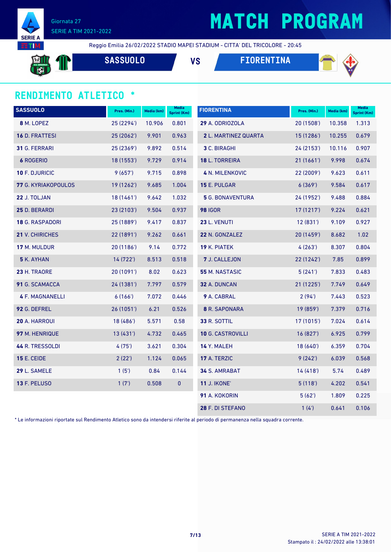

# **MATCH PROGRAM**

Reggio Emilia 26/02/2022 STADIO MAPEI STADIUM - CITTA' DEL TRICOLORE - 20:45

**SASSUOLO VS FIORENTINA**



#### **RENDIMENTO ATLETICO \***

| <b>SASSUOLO</b>        | Pres. (Min.) | Media (km) | Media<br><b>Sprint (Km)</b> | <b>FIORENTINA</b>        | Pres. (Min.) | Media (km) | <b>Media</b><br><b>Sprint (Km)</b> |
|------------------------|--------------|------------|-----------------------------|--------------------------|--------------|------------|------------------------------------|
| 8 M. LOPEZ             | 25 (2294')   | 10.906     | 0.801                       | 29 A. ODRIOZOLA          | 20 (1508')   | 10.358     | 1.313                              |
| 16 D. FRATTESI         | 25 (2062')   | 9.901      | 0.963                       | 2 L. MARTINEZ QUARTA     | 15 (1286')   | 10.255     | 0.679                              |
| 31 G. FERRARI          | 25 (2369')   | 9.892      | 0.514                       | 3 C. BIRAGHI             | 24 (2153')   | 10.116     | 0.907                              |
| <b>6 ROGERIO</b>       | 18 (1553')   | 9.729      | 0.914                       | 18 L. TORREIRA           | 21(1661)     | 9.998      | 0.674                              |
| 10 F. DJURICIC         | 9(657)       | 9.715      | 0.898                       | <b>4 N. MILENKOVIC</b>   | 22 (2009')   | 9.623      | 0.611                              |
| 77 G. KYRIAKOPOULOS    | 19 (1262')   | 9.685      | 1.004                       | 15 E. PULGAR             | 6(369)       | 9.584      | 0.617                              |
| 22 J. TOLJAN           | 18 (1461')   | 9.642      | 1.032                       | <b>5</b> G. BONAVENTURA  | 24 (1952')   | 9.488      | 0.884                              |
| 25 D. BERARDI          | 23 (2103')   | 9.504      | 0.937                       | <b>98 IGOR</b>           | 17 (1217')   | 9.224      | 0.621                              |
| <b>18 G. RASPADORI</b> | 25 (1889')   | 9.417      | 0.837                       | 23 L. VENUTI             | 12(831)      | 9.109      | 0.927                              |
| 21 V. CHIRICHES        | 22 (1891')   | 9.262      | 0.661                       | 22 N. GONZALEZ           | 20 (1459')   | 8.682      | 1.02                               |
| 17 M. MULDUR           | 20 (1186')   | 9.14       | 0.772                       | 19 K. PIATEK             | 4(263)       | 8.307      | 0.804                              |
| <b>5</b> K. AYHAN      | 14 (722')    | 8.513      | 0.518                       | 7 J. CALLEJON            | 22 (1242')   | 7.85       | 0.899                              |
| 23 H. TRAORE           | 20 (1091')   | 8.02       | 0.623                       | 55 M. NASTASIC           | 5(241)       | 7.833      | 0.483                              |
| 91 G. SCAMACCA         | 24 (1381')   | 7.797      | 0.579                       | 32 A. DUNCAN             | 21 (1225')   | 7.749      | 0.649                              |
| <b>4 F. MAGNANELLI</b> | 6(166)       | 7.072      | 0.446                       | 9 A. CABRAL              | 2(94)        | 7.443      | 0.523                              |
| 92 G. DEFREL           | 26 (1051')   | 6.21       | 0.526                       | 8 R. SAPONARA            | 19 (859')    | 7.379      | 0.716                              |
| 20 A. HARROUI          | 18 (486')    | 5.571      | 0.58                        | 33 R. SOTTIL             | 17(1015)     | 7.024      | 0.614                              |
| 97 M. HENRIQUE         | 13 (431')    | 4.732      | 0.465                       | <b>10 G. CASTROVILLI</b> | 16 (827')    | 6.925      | 0.799                              |
| 44 R. TRESSOLDI        | 4(75)        | 3.621      | 0.304                       | 14 Y. MALEH              | 18 (640')    | 6.359      | 0.704                              |
| <b>15 E. CEIDE</b>     | 2(22')       | 1.124      | 0.065                       | 17 A. TERZIC             | 9(242)       | 6.039      | 0.568                              |
| 29 L. SAMELE           | 1(5')        | 0.84       | 0.144                       | <b>34 S. AMRABAT</b>     | 14(418)      | 5.74       | 0.489                              |
| <b>13 F. PELUSO</b>    | 1(7)         | 0.508      | $\pmb{0}$                   | <b>11 J. IKONE'</b>      | 5(118)       | 4.202      | 0.541                              |
|                        |              |            |                             | 91 A. KOKORIN            | 5(62)        | 1.809      | 0.225                              |
|                        |              |            |                             | 28 F. DI STEFANO         | 1(4)         | 0.641      | 0.106                              |

\* Le informazioni riportate sul Rendimento Atletico sono da intendersi riferite al periodo di permanenza nella squadra corrente.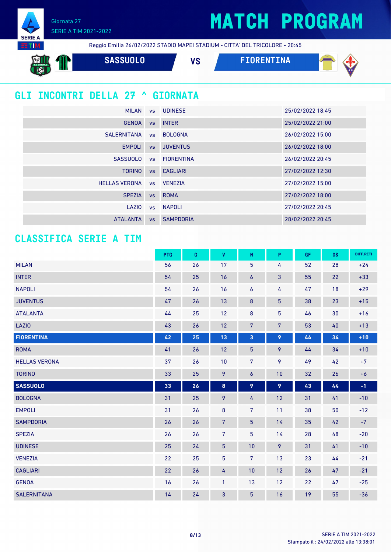## **MATCH PROGRAM**

Giornata 27 SERIE A TIM 2021-2022



**SASSUOLO VS FIORENTINA** 

## **GLI INCONTRI DELLA 27 ^ GIORNATA**

| <b>MILAN</b>         |           | vs UDINESE       | 25/02/2022 18:45 |
|----------------------|-----------|------------------|------------------|
| <b>GENOA</b>         | <b>VS</b> | <b>INTER</b>     | 25/02/2022 21:00 |
| SALERNITANA          |           | vs BOLOGNA       | 26/02/2022 15:00 |
| <b>EMPOLI</b>        | VS        | <b>JUVENTUS</b>  | 26/02/2022 18:00 |
| <b>SASSUOLO</b>      |           | vs FIORENTINA    | 26/02/2022 20:45 |
| <b>TORINO</b>        | VS        | <b>CAGLIARI</b>  | 27/02/2022 12:30 |
| <b>HELLAS VERONA</b> |           | vs VENEZIA       | 27/02/2022 15:00 |
| <b>SPEZIA</b>        | <b>VS</b> | <b>ROMA</b>      | 27/02/2022 18:00 |
| LAZIO                |           | vs NAPOLI        | 27/02/2022 20:45 |
| <b>ATALANTA</b>      | <b>VS</b> | <b>SAMPDORIA</b> | 28/02/2022 20:45 |

### **CLASSIFICA SERIE A TIM**

|                      | PTG  | G  | $\pmb{\mathsf{V}}$ | ${\sf N}$      | P              | GF | GS         | DIFF.RETI |
|----------------------|------|----|--------------------|----------------|----------------|----|------------|-----------|
| <b>MILAN</b>         | 56   | 26 | 17                 | 5              | 4              | 52 | 28         | $+24$     |
| <b>INTER</b>         | 54   | 25 | 16                 | 6              | $\mathbf{3}$   | 55 | 22         | $+33$     |
| <b>NAPOLI</b>        | 54   | 26 | 16                 | 6              | 4              | 47 | 18         | $+29$     |
| <b>JUVENTUS</b>      | 47   | 26 | 13                 | $\bf 8$        | $\overline{5}$ | 38 | 23         | $+15$     |
| <b>ATALANTA</b>      | $44$ | 25 | 12                 | $\bf 8$        | 5              | 46 | 30         | $+16$     |
| <b>LAZIO</b>         | 43   | 26 | 12                 | $\overline{7}$ | 7              | 53 | $40\,$     | $+13$     |
| <b>FIORENTINA</b>    | 42   | 25 | 13                 | 3              | 9              | 44 | 34         | $+10$     |
| <b>ROMA</b>          | 41   | 26 | 12                 | $\overline{5}$ | 9              | 44 | 34         | $+10$     |
| <b>HELLAS VERONA</b> | 37   | 26 | 10                 | 7 <sup>1</sup> | 9              | 49 | 42         | $+7$      |
| <b>TORINO</b>        | 33   | 25 | 9                  | $\pmb{6}$      | 10             | 32 | 26         | $+6$      |
| <b>SASSUOLO</b>      | 33   | 26 | 8                  | 9              | 9              | 43 | $\pmb{44}$ | $-1$      |
| <b>BOLOGNA</b>       | 31   | 25 | 9                  | 4              | 12             | 31 | 41         | $-10$     |
| <b>EMPOLI</b>        | 31   | 26 | $\bf 8$            | $\overline{7}$ | 11             | 38 | 50         | $-12$     |
| <b>SAMPDORIA</b>     | 26   | 26 | $\overline{7}$     | $\overline{5}$ | 14             | 35 | 42         | $-7$      |
| <b>SPEZIA</b>        | 26   | 26 | $\overline{7}$     | 5              | 14             | 28 | 48         | $-20$     |
| <b>UDINESE</b>       | 25   | 24 | $\overline{5}$     | 10             | 9              | 31 | 41         | $-10$     |
| <b>VENEZIA</b>       | 22   | 25 | 5                  | 7              | 13             | 23 | 44         | $-21$     |
| <b>CAGLIARI</b>      | 22   | 26 | 4                  | 10             | 12             | 26 | 47         | $-21$     |
| <b>GENOA</b>         | 16   | 26 | $\mathbf{1}$       | 13             | 12             | 22 | 47         | $-25$     |
| <b>SALERNITANA</b>   | 14   | 24 | 3                  | $\overline{5}$ | 16             | 19 | 55         | $-36$     |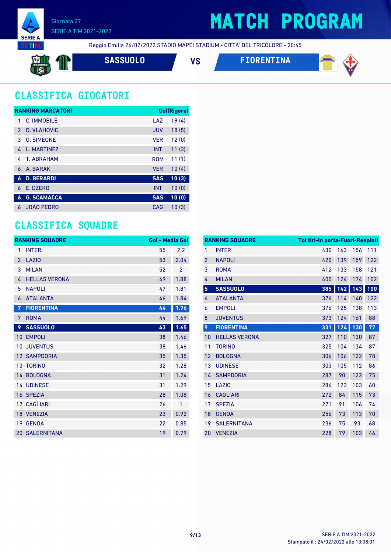

## **MATCH PROGRAM**

Reggio Emilia 26/02/2022 STADIO MAPEI STADIUM - CITTA' DEL TRICOLORE - 20:45

$$
\mathbb{H} \oplus \mathbb{T}
$$

**SASSUOLO VS FIORENTINA**



## **CLASSIFICA GIOCATORI**

|               | <b>RANKING MARCATORI</b> |            | Gol(Rigore) |
|---------------|--------------------------|------------|-------------|
| 1             | C. IMMOBILE              | LAZ        | 19(4)       |
| $\mathcal{P}$ | D. VLAHOVIC              | <b>JUV</b> | 18(5)       |
| 3             | <b>G. SIMEONE</b>        | <b>VER</b> | 12(0)       |
| 4             | L. MARTINEZ              | <b>INT</b> | 11(3)       |
| 4             | T. ABRAHAM               | <b>ROM</b> | 11(1)       |
| 6             | A. BARAK                 | <b>VER</b> | 10(4)       |
| 6             | <b>D. BERARDI</b>        | <b>SAS</b> | 10(3)       |
| 6             | E. DZEKO                 | <b>INT</b> | 10(0)       |
| 6             | <b>G. SCAMACCA</b>       | <b>SAS</b> | 10(0)       |
| 6             | <b>JOAO PEDRO</b>        | CAG        | 10(3)       |

### **CLASSIFICA SQUADRE**

|                 | <b>RANKING SQUADRE</b> | Gol - Media Gol |      |
|-----------------|------------------------|-----------------|------|
| 1               | <b>INTER</b>           | 55              | 2.2  |
| $\overline{2}$  | <b>LAZIO</b>           | 53              | 2.04 |
| 3               | <b>MILAN</b>           | 52              | 2    |
| 4               | <b>HELLAS VERONA</b>   | 49              | 1.88 |
| 5               | <b>NAPOLI</b>          | 47              | 1.81 |
| 6               | <b>ATALANTA</b>        | 46              | 1.84 |
| 7               | <b>FIORENTINA</b>      | 44              | 1.76 |
| 7               | <b>ROMA</b>            | 44              | 1.69 |
| 9               | <b>SASSUOLO</b>        | 43              | 1.65 |
| 10              | <b>EMPOLI</b>          | 38              | 1.46 |
| 10              | <b>JUVENTUS</b>        | 38              | 1.46 |
| 12 <sup>2</sup> | <b>SAMPDORIA</b>       | 35              | 1.35 |
| 13 <sup>°</sup> | <b>TORINO</b>          | 32              | 1.28 |
|                 | 14 BOLOGNA             | 31              | 1.24 |
|                 | <b>14 UDINESE</b>      | 31              | 1.29 |
|                 | 16 SPEZIA              | 28              | 1.08 |
|                 | <b>17 CAGLIARI</b>     | 26              | 1    |
|                 | 18 VENEZIA             | 23              | 0.92 |
| 19              | <b>GENOA</b>           | 22              | 0.85 |
|                 | <b>20 SALERNITANA</b>  | 19              | 0.79 |

|                 | <b>RANKING SQUADRE</b> | <b>Tot tiri-In porta-Fuori-Respinti</b> |     |     |     |
|-----------------|------------------------|-----------------------------------------|-----|-----|-----|
| $\mathbf{1}$    | <b>INTER</b>           | 430                                     | 163 | 156 | 111 |
| $\overline{2}$  | <b>NAPOLI</b>          | 420                                     | 139 | 159 | 122 |
| 3               | <b>ROMA</b>            | 412                                     | 133 | 158 | 121 |
| 4               | <b>MILAN</b>           | 400                                     | 124 | 174 | 102 |
| $5\phantom{.0}$ | <b>SASSUOLO</b>        | 385                                     | 142 | 143 | 100 |
| 6               | <b>ATALANTA</b>        | 376                                     | 114 | 140 | 122 |
| 6               | <b>EMPOLI</b>          | 376                                     | 125 | 138 | 113 |
| 8               | <b>JUVENTUS</b>        | 373                                     | 124 | 161 | 88  |
| 9               | <b>FIORENTINA</b>      | 331                                     | 124 | 130 | 77  |
| 10              | <b>HELLAS VERONA</b>   | 327                                     | 110 | 130 | 87  |
| 11              | <b>TORINO</b>          | 325                                     | 104 | 134 | 87  |
| 12              | <b>BOLOGNA</b>         | 306                                     | 106 | 122 | 78  |
| 13              | <b>UDINESE</b>         | 303                                     | 105 | 112 | 86  |
| 14              | <b>SAMPDORIA</b>       | 287                                     | 90  | 122 | 75  |
| 15              | LAZI <sub>0</sub>      | 286                                     | 123 | 103 | 60  |
| 16              | <b>CAGLIARI</b>        | 272                                     | 84  | 115 | 73  |
| 17              | <b>SPEZIA</b>          | 271                                     | 91  | 106 | 74  |
| 18              | <b>GENOA</b>           | 256                                     | 73  | 113 | 70  |
| 19              | <b>SALERNITANA</b>     | 236                                     | 75  | 93  | 68  |
| 20              | <b>VENEZIA</b>         | 228                                     | 79  | 103 | 46  |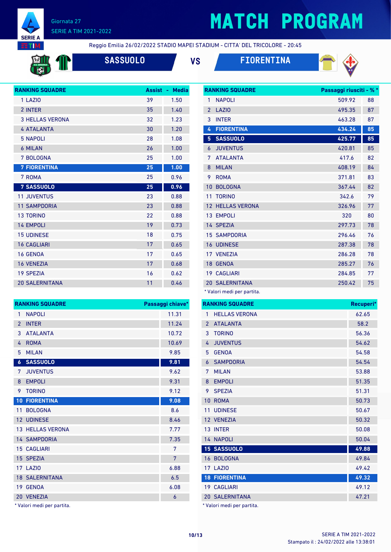

# **MATCH PROGRAM**

**RTIM** 

Reggio Emilia 26/02/2022 STADIO MAPEI STADIUM - CITTA' DEL TRICOLORE - 20:45



**SASSUOLO VS FIORENTINA**





| <b>RANKING SQUADRE</b> | Assist - | <b>Media</b> |
|------------------------|----------|--------------|
| 1 LAZIO                | 39       | 1.50         |
| 2 INTER                | 35       | 1.40         |
| <b>3 HELLAS VERONA</b> | 32       | 1.23         |
| <b>4 ATALANTA</b>      | 30       | 1.20         |
| <b>5 NAPOLI</b>        | 28       | 1.08         |
| <b>6 MILAN</b>         | 26       | 1.00         |
| 7 BOLOGNA              | 25       | 1.00         |
| <b>7 FIORENTINA</b>    | 25       | 1.00         |
| 7 ROMA                 | 25       | 0.96         |
| <b>7 SASSUOLO</b>      | 25       | 0.96         |
| <b>11 JUVENTUS</b>     | 23       | 0.88         |
| <b>11 SAMPDORIA</b>    | 23       | 0.88         |
| <b>13 TORINO</b>       | 22       | 0.88         |
| <b>14 EMPOLI</b>       | 19       | 0.73         |
| <b>15 UDINESE</b>      | 18       | 0.75         |
| <b>16 CAGLIARI</b>     | 17       | 0.65         |
| <b>16 GENOA</b>        | 17       | 0.65         |
| <b>16 VENEZIA</b>      | 17       | 0.68         |
| <b>19 SPEZIA</b>       | 16       | 0.62         |
| <b>20 SALERNITANA</b>  | 11       | 0.46         |

|                | <b>RANKING SQUADRE</b>  | Passaggi chiave* |
|----------------|-------------------------|------------------|
| 1              | <b>NAPOLI</b>           | 11.31            |
| $\mathfrak{p}$ | <b>INTER</b>            | 11.24            |
| 3              | <b>ATALANTA</b>         | 10.72            |
| 4              | <b>ROMA</b>             | 10.69            |
| 5              | <b>MILAN</b>            | 9.85             |
| $\overline{6}$ | <b>SASSUOLO</b>         | 9.81             |
| 7              | <b>JUVENTUS</b>         | 9.62             |
| 8              | <b>EMPOLI</b>           | 9.31             |
| 9              | <b>TORINO</b>           | 9.12             |
| 10             | <b>FIORENTINA</b>       | 9.08             |
| 11             | <b>BOLOGNA</b>          | 8.6              |
|                | 12 UDINESE              | 8.46             |
|                | <b>13 HELLAS VERONA</b> | 7.77             |
|                | <b>14 SAMPDORIA</b>     | 7.35             |
|                | <b>15 CAGLIARI</b>      | 7                |
|                | 15 SPEZIA               | 7                |
|                | <b>17 LAZIO</b>         | 6.88             |
|                | <b>18 SALERNITANA</b>   | 6.5              |
|                | 19 GENOA                | 6.08             |
|                | 20 VENEZIA              | 6                |
|                |                         |                  |

\* Valori medi per partita.

|                 | <b>RANKING SQUADRE</b> | Passaggi riusciti - % * |    |
|-----------------|------------------------|-------------------------|----|
| 1               | <b>NAPOLI</b>          | 509.92                  | 88 |
| $\overline{2}$  | LAZIO                  | 495.35                  | 87 |
| 3               | <b>INTER</b>           | 463.28                  | 87 |
| 4               | <b>FIORENTINA</b>      | 434.24                  | 85 |
| 5               | <b>SASSUOLO</b>        | 425.77                  | 85 |
| 6               | <b>JUVENTUS</b>        | 420.81                  | 85 |
| 7               | <b>ATALANTA</b>        | 417.6                   | 82 |
| 8               | <b>MILAN</b>           | 408.19                  | 84 |
| 9               | <b>ROMA</b>            | 371.81                  | 83 |
| 10              | <b>BOLOGNA</b>         | 367.44                  | 82 |
| 11              | <b>TORINO</b>          | 342.6                   | 79 |
| 12              | <b>HELLAS VERONA</b>   | 326.96                  | 77 |
| 13 <sup>°</sup> | <b>EMPOLI</b>          | 320                     | 80 |
|                 | 14 SPEZIA              | 297.73                  | 78 |
|                 | <b>15 SAMPDORIA</b>    | 296.46                  | 76 |
|                 | <b>16 UDINESE</b>      | 287.38                  | 78 |
|                 | 17 VENEZIA             | 286.28                  | 78 |
| 18              | <b>GENOA</b>           | 285.27                  | 76 |
|                 | <b>19 CAGLIARI</b>     | 284.85                  | 77 |
|                 | <b>20 SALERNITANA</b>  | 250.42                  | 75 |
|                 |                        |                         |    |

\* Valori medi per partita.

|                 | <b>RANKING SQUADRE</b> | Recuperi* |
|-----------------|------------------------|-----------|
| 1               | <b>HELLAS VERONA</b>   | 62.65     |
| $\overline{2}$  | <b>ATALANTA</b>        | 58.2      |
| 3               | <b>TORINO</b>          | 56.36     |
| 4               | <b>JUVENTUS</b>        | 54.62     |
| 5               | <b>GENOA</b>           | 54.58     |
| 6               | <b>SAMPDORIA</b>       | 54.54     |
| 7               | <b>MILAN</b>           | 53.88     |
| 8               | <b>EMPOLI</b>          | 51.35     |
| 9               | <b>SPEZIA</b>          | 51.31     |
| 10              | <b>ROMA</b>            | 50.73     |
| 11              | <b>UDINESE</b>         | 50.67     |
|                 | 12 VENEZIA             | 50.32     |
|                 | 13 INTER               | 50.08     |
|                 | 14 NAPOLI              | 50.04     |
|                 | 15 SASSUOLO            | 49.88     |
|                 | 16 BOLOGNA             | 49.84     |
|                 | 17 LAZIO               | 49.42     |
| 18 <sup>°</sup> | <b>FIORENTINA</b>      | 49.32     |
|                 | 19 CAGLIARI            | 49.12     |
|                 | <b>20 SALERNITANA</b>  | 47.21     |

Valori medi per partita.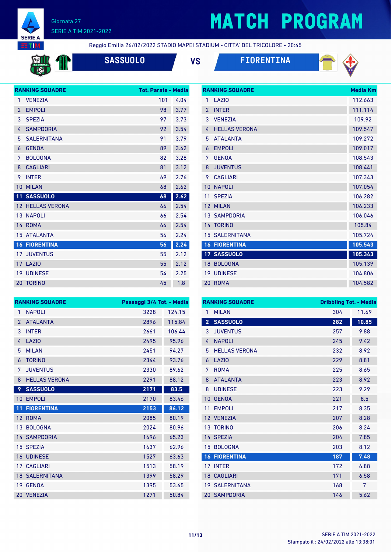

# **MATCH PROGRAM**

**RTM** 

Reggio Emilia 26/02/2022 STADIO MAPEI STADIUM - CITTA' DEL TRICOLORE - 20:45

**SASSUOLO VS FIORENTINA**



**RANKING SQUADRE Media Km** 



|                | <b>RANKING SQUADRE</b>  | <b>Tot. Parate - Media</b> |      |
|----------------|-------------------------|----------------------------|------|
| 1              | <b>VENEZIA</b>          | 101                        | 4.04 |
| $\overline{2}$ | <b>EMPOLI</b>           | 98                         | 3.77 |
| 3              | <b>SPEZIA</b>           | 97                         | 3.73 |
| 4              | <b>SAMPDORIA</b>        | 92                         | 3.54 |
| 5              | <b>SALERNITANA</b>      | 91                         | 3.79 |
| 6              | <b>GENOA</b>            | 89                         | 3.42 |
| 7              | <b>BOLOGNA</b>          | 82                         | 3.28 |
| 8              | <b>CAGLIARI</b>         | 81                         | 3.12 |
| 9              | <b>INTER</b>            | 69                         | 2.76 |
| 10             | <b>MILAN</b>            | 68                         | 2.62 |
| 11             | <b>SASSUOLO</b>         | 68                         | 2.62 |
|                | <b>12 HELLAS VERONA</b> | 66                         | 2.54 |
|                | 13 NAPOLI               | 66                         | 2.54 |
|                | 14 ROMA                 | 66                         | 2.54 |
|                | <b>15 ATALANTA</b>      | 56                         | 2.24 |
|                | <b>16 FIORENTINA</b>    | 56                         | 2.24 |
|                | <b>17 JUVENTUS</b>      | 55                         | 2.12 |
|                | 17 LAZIO                | 55                         | 2.12 |
| 19             | <b>UDINESE</b>          | 54                         | 2.25 |
| 20             | <b>TORINO</b>           | 45                         | 1.8  |
|                |                         |                            |      |

| 1              | LAZI <sub>0</sub>     | 112.663 |
|----------------|-----------------------|---------|
| $\mathfrak{p}$ | <b>INTER</b>          | 111.114 |
| 3              | <b>VENEZIA</b>        | 109.92  |
| 4              | <b>HELLAS VERONA</b>  | 109.547 |
| 5              | <b>ATALANTA</b>       | 109.272 |
| $\overline{6}$ | <b>EMPOLI</b>         | 109.017 |
| 7              | <b>GENOA</b>          | 108.543 |
| 8              | <b>JUVENTUS</b>       | 108.441 |
| 9              | <b>CAGLIARI</b>       | 107.343 |
| 10             | <b>NAPOLI</b>         | 107.054 |
| 11             | <b>SPF7IA</b>         | 106.282 |
| 12             | <b>MILAN</b>          | 106.233 |
|                | <b>13 SAMPDORIA</b>   | 106.046 |
|                | 14 TORINO             | 105.84  |
|                | <b>15 SALERNITANA</b> | 105.724 |
| 16             | <b>FIORENTINA</b>     | 105.543 |
|                | <b>17 SASSUOLO</b>    | 105.343 |
| 18             | <b>BOLOGNA</b>        | 105.139 |
|                |                       |         |
| 19             | <b>UDINESE</b>        | 104.806 |

|                 | <b>RANKING SQUADRE</b> | Passaggi 3/4 Tot. - Media |        |
|-----------------|------------------------|---------------------------|--------|
| 1               | <b>NAPOLI</b>          | 3228                      | 124.15 |
| $\overline{2}$  | <b>ATALANTA</b>        | 2896                      | 115.84 |
| 3               | <b>INTER</b>           | 2661                      | 106.44 |
| 4               | LAZIO                  | 2495                      | 95.96  |
| 5               | <b>MILAN</b>           | 2451                      | 94.27  |
| 6               | <b>TORINO</b>          | 2344                      | 93.76  |
| 7               | <b>JUVENTUS</b>        | 2330                      | 89.62  |
| 8               | <b>HELLAS VERONA</b>   | 2291                      | 88.12  |
| 9               | <b>SASSUOLO</b>        | 2171                      | 83.5   |
| $10-1$          | <b>EMPOLI</b>          | 2170                      | 83.46  |
| 11              | <b>FIORENTINA</b>      | 2153                      | 86.12  |
|                 | 12 ROMA                | 2085                      | 80.19  |
|                 | 13 BOLOGNA             | 2024                      | 80.96  |
|                 | <b>14 SAMPDORIA</b>    | 1696                      | 65.23  |
|                 | 15 SPEZIA              | 1637                      | 62.96  |
|                 | <b>16 UDINESE</b>      | 1527                      | 63.63  |
| 17 <sup>1</sup> | <b>CAGLIARI</b>        | 1513                      | 58.19  |
|                 | <b>18 SALERNITANA</b>  | 1399                      | 58.29  |
|                 | 19 GENOA               | 1395                      | 53.65  |
|                 | 20 VENEZIA             | 1271                      | 50.84  |

|                 | <b>RANKING SQUADRE</b> | <b>Dribbling Tot. - Media</b> |       |
|-----------------|------------------------|-------------------------------|-------|
| 1               | <b>MILAN</b>           | 304                           | 11.69 |
| $\overline{2}$  | <b>SASSUOLO</b>        | 282                           | 10.85 |
| 3               | <b>JUVENTUS</b>        | 257                           | 9.88  |
| 4               | <b>NAPOLI</b>          | 245                           | 9.42  |
| 5               | <b>HELLAS VERONA</b>   | 232                           | 8.92  |
| 6               | LAZIO                  | 229                           | 8.81  |
| 7               | <b>ROMA</b>            | 225                           | 8.65  |
| 8               | <b>ATALANTA</b>        | 223                           | 8.92  |
| 8               | <b>UDINESE</b>         | 223                           | 9.29  |
| 10              | <b>GENOA</b>           | 221                           | 8.5   |
| 11              | <b>EMPOLI</b>          | 217                           | 8.35  |
|                 | 12 VENEZIA             | 207                           | 8.28  |
| 13 <sup>°</sup> | <b>TORINO</b>          | 206                           | 8.24  |
|                 | 14 SPEZIA              | 204                           | 7.85  |
| 15              | <b>BOLOGNA</b>         | 203                           | 8.12  |
| 16              | <b>FIORENTINA</b>      | 187                           | 7.48  |
| 17              | <b>INTER</b>           | 172                           | 6.88  |
| 18 <sup>°</sup> | <b>CAGLIARI</b>        | 171                           | 6.58  |
|                 | <b>19 SALERNITANA</b>  | 168                           | 7     |
|                 | <b>20 SAMPDORIA</b>    | 146                           | 5.62  |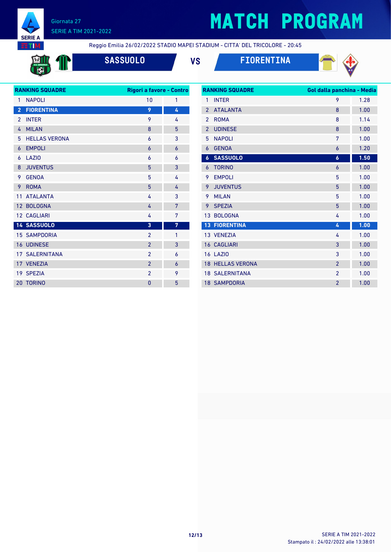

# **MATCH PROGRAM**

**EETIM** 

Reggio Emilia 26/02/2022 STADIO MAPEI STADIUM - CITTA' DEL TRICOLORE - 20:45



**SASSUOLO VS FIORENTINA**



|                 | <b>RANKING SQUADRE</b> | Rigori a favore - Contro |                |
|-----------------|------------------------|--------------------------|----------------|
| 1               | <b>NAPOLI</b>          | 10                       | 1              |
| $\overline{2}$  | <b>FIORENTINA</b>      | 9                        | 4              |
| 2               | <b>INTER</b>           | 9                        | 4              |
| 4               | <b>MILAN</b>           | 8                        | 5              |
| 5               | <b>HELLAS VERONA</b>   | 6                        | 3              |
| 6               | <b>EMPOLI</b>          | 6                        | $\overline{6}$ |
| 6               | <b>LAZIO</b>           | 6                        | 6              |
| 8               | <b>JUVENTUS</b>        | 5                        | 3              |
| 9               | <b>GENOA</b>           | 5                        | 4              |
| 9               | <b>ROMA</b>            | 5                        | 4              |
| 11              | <b>ATALANTA</b>        | 4                        | 3              |
| 12 <sup>2</sup> | <b>BOLOGNA</b>         | 4                        | 7              |
|                 | <b>12 CAGLIARI</b>     | 4                        | 7              |
|                 | 14 SASSUOLO            | 3                        | 7              |
|                 | <b>15 SAMPDORIA</b>    | $\mathfrak{p}$           | 1              |
|                 | <b>16 UDINESE</b>      | $\overline{2}$           | 3              |
|                 | <b>17 SALERNITANA</b>  | $\overline{2}$           | 6              |
|                 | 17 VENEZIA             | $\overline{2}$           | 6              |
|                 | 19 SPEZIA              | $\overline{2}$           | 9              |
|                 | 20 TORINO              | $\overline{0}$           | 5              |

|                | <b>RANKING SQUADRE</b> | Gol dalla panchina - Media |      |
|----------------|------------------------|----------------------------|------|
| $\mathbf{1}$   | <b>INTER</b>           | 9                          | 1.28 |
| $\mathfrak{p}$ | <b>ATALANTA</b>        | 8                          | 1.00 |
| $\mathfrak{p}$ | <b>ROMA</b>            | 8                          | 1.14 |
| $\overline{2}$ | <b>UDINESE</b>         | 8                          | 1.00 |
| 5              | <b>NAPOLI</b>          | 7                          | 1.00 |
| 6              | <b>GENOA</b>           | 6                          | 1.20 |
| 6              | <b>SASSUOLO</b>        | 6                          | 1.50 |
| 6              | <b>TORINO</b>          | 6                          | 1.00 |
| 9              | <b>EMPOLI</b>          | 5                          | 1.00 |
| 9              | <b>JUVENTUS</b>        | 5                          | 1.00 |
| 9              | <b>MILAN</b>           | 5                          | 1.00 |
| 9              | <b>SPEZIA</b>          | 5                          | 1.00 |
| 13             | <b>BOLOGNA</b>         | 4                          | 1.00 |
| 13             | <b>FIORENTINA</b>      | 4                          | 1.00 |
|                | 13 VENEZIA             | 4                          | 1.00 |
|                | <b>16 CAGLIARI</b>     | 3                          | 1.00 |
|                | <b>16 LAZIO</b>        | 3                          | 1.00 |
| 18             | <b>HELLAS VERONA</b>   | $\overline{2}$             | 1.00 |
|                | <b>18 SALERNITANA</b>  | $\overline{2}$             | 1.00 |
|                | <b>18 SAMPDORIA</b>    | $\overline{2}$             | 1.00 |